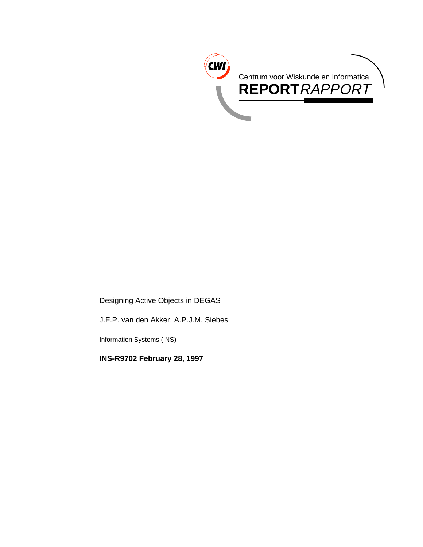

Designing Active Objects in DEGAS

J.F.P. van den Akker, A.P.J.M. Siebes

Information Systems (INS)

**INS-R9702 February 28, 1997**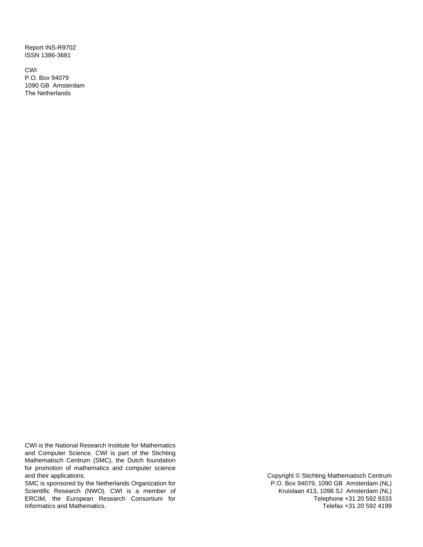Report INS-R9702 ISSN 1386-3681

CWI P.O. Box 94079 1090 GB Amsterdam The Netherlands

CWI is the National Research Institute for Mathematics and Computer Science. CWI is part of the Stichting Mathematisch Centrum (SMC), the Dutch foundation for promotion of mathematics and computer science and their applications.

SMC is sponsored by the Netherlands Organization for Scientific Research (NWO). CWI is a member of ERCIM, the European Research Consortium for Informatics and Mathematics.

Copyright © Stichting Mathematisch Centrum P.O. Box 94079, 1090 GB Amsterdam (NL) Kruislaan 413, 1098 SJ Amsterdam (NL) Telephone +31 20 592 9333 Telefax +31 20 592 4199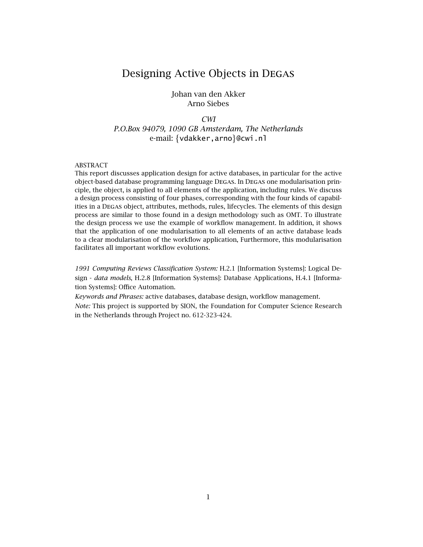## Designing Active Objects in Degas

#### Johan van den Akker Arno Siebes

#### *CWI*

*P.O.Box 94079, 1090 GB Amsterdam, The Netherlands* e-mail: {vdakker, arno}@cwi.nl

#### ABSTRACT

This report discusses application design for active databases, in particular for the active object-based database programming language Degas. In Degas one modularisation principle, the object, is applied to all elements of the application, including rules. We discuss a design process consisting of four phases, corresponding with the four kinds of capabilities in a Degas object, attributes, methods, rules, lifecycles. The elements of this design process are similar to those found in a design methodology such as OMT. To illustrate the design process we use the example of workflow management. In addition, it shows that the application of one modularisation to all elements of an active database leads to a clear modularisation of the workflow application, Furthermore, this modularisation facilitates all important workflow evolutions.

*1991 Computing Reviews Classification System:* H.2.1 [Information Systems]: Logical Design - *data models*, H.2.8 [Information Systems]: Database Applications, H.4.1 [Information Systems]: Office Automation.

*Keywords and Phrases:* active databases, database design, workflow management. *Note:* This project is supported by SION, the Foundation for Computer Science Research in the Netherlands through Project no. 612-323-424.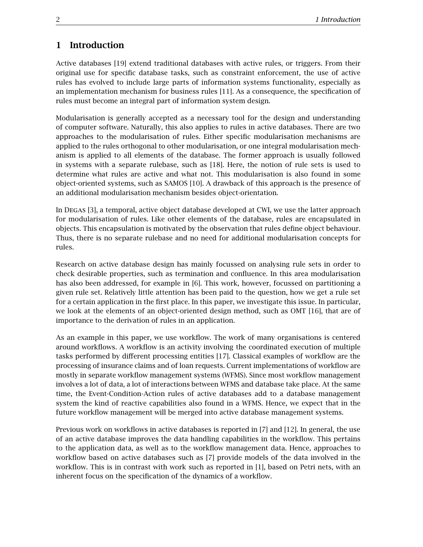## **1 Introduction**

Active databases [19] extend traditional databases with active rules, or triggers. From their original use for specific database tasks, such as constraint enforcement, the use of active rules has evolved to include large parts of information systems functionality, especially as an implementation mechanism for business rules [11]. As a consequence, the specification of rules must become an integral part of information system design.

Modularisation is generally accepted as a necessary tool for the design and understanding of computer software. Naturally, this also applies to rules in active databases. There are two approaches to the modularisation of rules. Either specific modularisation mechanisms are applied to the rules orthogonal to other modularisation, or one integral modularisation mechanism is applied to all elements of the database. The former approach is usually followed in systems with a separate rulebase, such as [18]. Here, the notion of rule sets is used to determine what rules are active and what not. This modularisation is also found in some object-oriented systems, such as SAMOS [10]. A drawback of this approach is the presence of an additional modularisation mechanism besides object-orientation.

In Degas [3], a temporal, active object database developed at CWI, we use the latter approach for modularisation of rules. Like other elements of the database, rules are encapsulated in objects. This encapsulation is motivated by the observation that rules define object behaviour. Thus, there is no separate rulebase and no need for additional modularisation concepts for rules.

Research on active database design has mainly focussed on analysing rule sets in order to check desirable properties, such as termination and confluence. In this area modularisation has also been addressed, for example in [6]. This work, however, focussed on partitioning a given rule set. Relatively little attention has been paid to the question, how we get a rule set for a certain application in the first place. In this paper, we investigate this issue. In particular, we look at the elements of an object-oriented design method, such as OMT [16], that are of importance to the derivation of rules in an application.

As an example in this paper, we use workflow. The work of many organisations is centered around workflows. A workflow is an activity involving the coordinated execution of multiple tasks performed by different processing entities [17]. Classical examples of workflow are the processing of insurance claims and of loan requests. Current implementations of workflow are mostly in separate workflow management systems (WFMS). Since most workflow management involves a lot of data, a lot of interactions between WFMS and database take place. At the same time, the Event-Condition-Action rules of active databases add to a database management system the kind of reactive capabilities also found in a WFMS. Hence, we expect that in the future workflow management will be merged into active database management systems.

Previous work on workflows in active databases is reported in [7] and [12]. In general, the use of an active database improves the data handling capabilities in the workflow. This pertains to the application data, as well as to the workflow management data. Hence, approaches to workflow based on active databases such as [7] provide models of the data involved in the workflow. This is in contrast with work such as reported in [1], based on Petri nets, with an inherent focus on the specification of the dynamics of a workflow.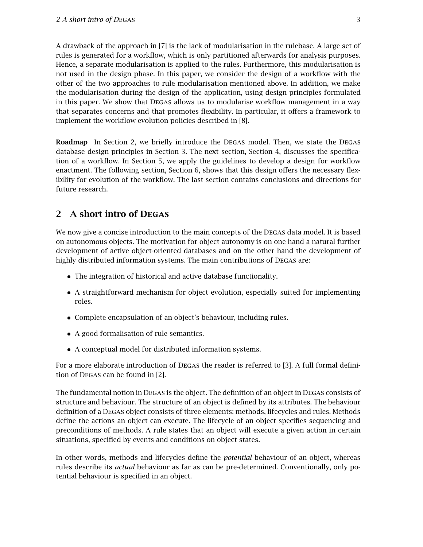A drawback of the approach in [7] is the lack of modularisation in the rulebase. A large set of rules is generated for a workflow, which is only partitioned afterwards for analysis purposes. Hence, a separate modularisation is applied to the rules. Furthermore, this modularisation is not used in the design phase. In this paper, we consider the design of a workflow with the other of the two approaches to rule modularisation mentioned above. In addition, we make the modularisation during the design of the application, using design principles formulated in this paper. We show that Degas allows us to modularise workflow management in a way that separates concerns and that promotes flexibility. In particular, it offers a framework to implement the workflow evolution policies described in [8].

**Roadmap** In Section 2, we briefly introduce the DEGAS model. Then, we state the DEGAS database design principles in Section 3. The next section, Section 4, discusses the specification of a workflow. In Section 5, we apply the guidelines to develop a design for workflow enactment. The following section, Section 6, shows that this design offers the necessary flexibility for evolution of the workflow. The last section contains conclusions and directions for future research.

## **2 A short intro of Degas**

We now give a concise introduction to the main concepts of the DEGAS data model. It is based on autonomous objects. The motivation for object autonomy is on one hand a natural further development of active object-oriented databases and on the other hand the development of highly distributed information systems. The main contributions of Degas are:

- The integration of historical and active database functionality.
- A straightforward mechanism for object evolution, especially suited for implementing roles.
- Complete encapsulation of an object's behaviour, including rules.
- A good formalisation of rule semantics.
- A conceptual model for distributed information systems.

For a more elaborate introduction of Degas the reader is referred to [3]. A full formal definition of Degas can be found in [2].

The fundamental notion in Degas is the object. The definition of an object in Degas consists of structure and behaviour. The structure of an object is defined by its attributes. The behaviour definition of a Degas object consists of three elements: methods, lifecycles and rules. Methods define the actions an object can execute. The lifecycle of an object specifies sequencing and preconditions of methods. A rule states that an object will execute a given action in certain situations, specified by events and conditions on object states.

In other words, methods and lifecycles define the *potential* behaviour of an object, whereas rules describe its *actual* behaviour as far as can be pre-determined. Conventionally, only potential behaviour is specified in an object.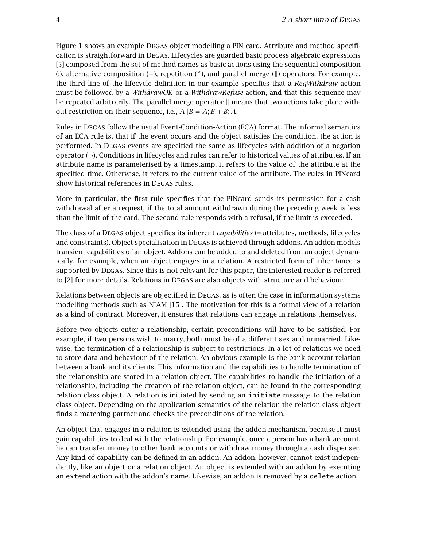Figure 1 shows an example Degas object modelling a PIN card. Attribute and method specification is straightforward in Degas. Lifecycles are guarded basic process algebraic expressions [5] composed from the set of method names as basic actions using the sequential composition (;), alternative composition (*+*), repetition (*∗*), and parallel merge (*k*) operators. For example, the third line of the lifecycle definition in our example specifies that a *ReqWithdraw* action must be followed by a *WithdrawOK* or a *WithdrawRefuse* action, and that this sequence may be repeated arbitrarily. The parallel merge operator  $\parallel$  means that two actions take place without restriction on their sequence, i.e.,  $A||B = A$ ;  $B + B$ ;  $A$ .

Rules in Degas follow the usual Event-Condition-Action (ECA) format. The informal semantics of an ECA rule is, that if the event occurs and the object satisfies the condition, the action is performed. In Degas events are specified the same as lifecycles with addition of a negation operator (*¬*). Conditions in lifecycles and rules can refer to historical values of attributes. If an attribute name is parameterised by a timestamp, it refers to the value of the attribute at the specified time. Otherwise, it refers to the current value of the attribute. The rules in PINcard show historical references in DEGAS rules.

More in particular, the first rule specifies that the PINcard sends its permission for a cash withdrawal after a request, if the total amount withdrawn during the preceding week is less than the limit of the card. The second rule responds with a refusal, if the limit is exceeded.

The class of a Degas object specifies its inherent *capabilities* (= attributes, methods, lifecycles and constraints). Object specialisation in Degas is achieved through addons. An addon models transient capabilities of an object. Addons can be added to and deleted from an object dynamically, for example, when an object engages in a relation. A restricted form of inheritance is supported by Degas. Since this is not relevant for this paper, the interested reader is referred to [2] for more details. Relations in Degas are also objects with structure and behaviour.

Relations between objects are objectified in Degas, as is often the case in information systems modelling methods such as NIAM [15]. The motivation for this is a formal view of a relation as a kind of contract. Moreover, it ensures that relations can engage in relations themselves.

Before two objects enter a relationship, certain preconditions will have to be satisfied. For example, if two persons wish to marry, both must be of a different sex and unmarried. Likewise, the termination of a relationship is subject to restrictions. In a lot of relations we need to store data and behaviour of the relation. An obvious example is the bank account relation between a bank and its clients. This information and the capabilities to handle termination of the relationship are stored in a relation object. The capabilities to handle the initiation of a relationship, including the creation of the relation object, can be found in the corresponding relation class object. A relation is initiated by sending an initiate message to the relation class object. Depending on the application semantics of the relation the relation class object finds a matching partner and checks the preconditions of the relation.

An object that engages in a relation is extended using the addon mechanism, because it must gain capabilities to deal with the relationship. For example, once a person has a bank account, he can transfer money to other bank accounts or withdraw money through a cash dispenser. Any kind of capability can be defined in an addon. An addon, however, cannot exist independently, like an object or a relation object. An object is extended with an addon by executing an extend action with the addon's name. Likewise, an addon is removed by a delete action.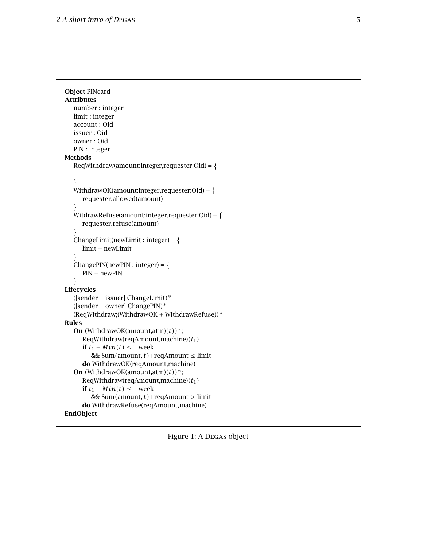```
Object PINcard
Attributes
  number : integer
  limit : integer
  account : Oid
  issuer : Oid
  owner : Oid
  PIN : integer
Methods
  RegWith draw(amount:integer, requester:Od) = \{\}WithdrawOK(amount:integer,requester:Oid) = \{requester.allowed(amount)
   \}WitdrawRefuse(amount:integer,requester:Oid) = {
     requester.refuse(amount)
   \}ChangeLimit(newLimit : integer) = \{limit = newLimit
   \}ChangePIN(newPIN:integer) = {PIN = newPIN
   \}Lifecycles
  ([sender==issuer] ChangeLimit)∗
  ([sender==owner] ChangePIN)∗
  (ReqWithdraw;(WithdrawOK + WithdrawRefuse))∗
Rules
  On (WithdrawOK(amount,atm)(t))∗;
     ReqWithdraw(reqAmount,machine)(t1)
     if t_1 − Min(t) ≤ 1 week
       && Sum(amount, t)+reqAmount ≤ limit
     do WithdrawOK(reqAmount,machine)
  On (WithdrawOK(amount,atm)(t))∗;
     ReqWithdraw(reqAmount,machine)(t1)
     if t_1 − Min(t) ≤ 1 week
        && Sum(amount, t)+reqAmount > limit
     do WithdrawRefuse(reqAmount,machine)
EndObject
```
Figure 1: A Degas object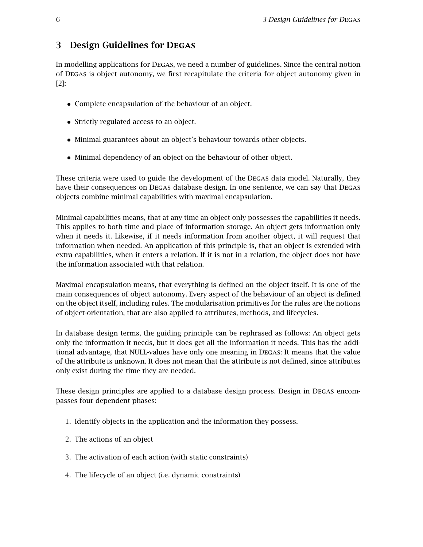## **3 Design Guidelines for Degas**

In modelling applications for Degas, we need a number of guidelines. Since the central notion of Degas is object autonomy, we first recapitulate the criteria for object autonomy given in [2]:

- Complete encapsulation of the behaviour of an object.
- Strictly regulated access to an object.
- Minimal guarantees about an object's behaviour towards other objects.
- Minimal dependency of an object on the behaviour of other object.

These criteria were used to guide the development of the Degas data model. Naturally, they have their consequences on DEGAS database design. In one sentence, we can say that DEGAS objects combine minimal capabilities with maximal encapsulation.

Minimal capabilities means, that at any time an object only possesses the capabilities it needs. This applies to both time and place of information storage. An object gets information only when it needs it. Likewise, if it needs information from another object, it will request that information when needed. An application of this principle is, that an object is extended with extra capabilities, when it enters a relation. If it is not in a relation, the object does not have the information associated with that relation.

Maximal encapsulation means, that everything is defined on the object itself. It is one of the main consequences of object autonomy. Every aspect of the behaviour of an object is defined on the object itself, including rules. The modularisation primitives for the rules are the notions of object-orientation, that are also applied to attributes, methods, and lifecycles.

In database design terms, the guiding principle can be rephrased as follows: An object gets only the information it needs, but it does get all the information it needs. This has the additional advantage, that NULL-values have only one meaning in Degas: It means that the value of the attribute is unknown. It does not mean that the attribute is not defined, since attributes only exist during the time they are needed.

These design principles are applied to a database design process. Design in Degas encompasses four dependent phases:

- 1. Identify objects in the application and the information they possess.
- 2. The actions of an object
- 3. The activation of each action (with static constraints)
- 4. The lifecycle of an object (i.e. dynamic constraints)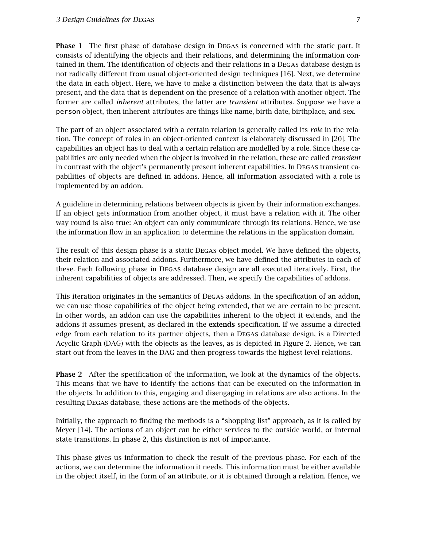**Phase 1** The first phase of database design in DEGAS is concerned with the static part. It consists of identifying the objects and their relations, and determining the information contained in them. The identification of objects and their relations in a Degas database design is not radically different from usual object-oriented design techniques [16]. Next, we determine the data in each object. Here, we have to make a distinction between the data that is always present, and the data that is dependent on the presence of a relation with another object. The former are called *inherent* attributes, the latter are *transient* attributes. Suppose we have a person object, then inherent attributes are things like name, birth date, birthplace, and sex.

The part of an object associated with a certain relation is generally called its *role* in the relation. The concept of roles in an object-oriented context is elaborately discussed in [20]. The capabilities an object has to deal with a certain relation are modelled by a role. Since these capabilities are only needed when the object is involved in the relation, these are called *transient* in contrast with the object's permanently present inherent capabilities. In Degas transient capabilities of objects are defined in addons. Hence, all information associated with a role is implemented by an addon.

A guideline in determining relations between objects is given by their information exchanges. If an object gets information from another object, it must have a relation with it. The other way round is also true: An object can only communicate through its relations. Hence, we use the information flow in an application to determine the relations in the application domain.

The result of this design phase is a static Degas object model. We have defined the objects, their relation and associated addons. Furthermore, we have defined the attributes in each of these. Each following phase in Degas database design are all executed iteratively. First, the inherent capabilities of objects are addressed. Then, we specify the capabilities of addons.

This iteration originates in the semantics of Degas addons. In the specification of an addon, we can use those capabilities of the object being extended, that we are certain to be present. In other words, an addon can use the capabilities inherent to the object it extends, and the addons it assumes present, as declared in the **extends** specification. If we assume a directed edge from each relation to its partner objects, then a Degas database design, is a Directed Acyclic Graph (DAG) with the objects as the leaves, as is depicted in Figure 2. Hence, we can start out from the leaves in the DAG and then progress towards the highest level relations.

**Phase 2** After the specification of the information, we look at the dynamics of the objects. This means that we have to identify the actions that can be executed on the information in the objects. In addition to this, engaging and disengaging in relations are also actions. In the resulting Degas database, these actions are the methods of the objects.

Initially, the approach to finding the methods is a "shopping list" approach, as it is called by Meyer [14]. The actions of an object can be either services to the outside world, or internal state transitions. In phase 2, this distinction is not of importance.

This phase gives us information to check the result of the previous phase. For each of the actions, we can determine the information it needs. This information must be either available in the object itself, in the form of an attribute, or it is obtained through a relation. Hence, we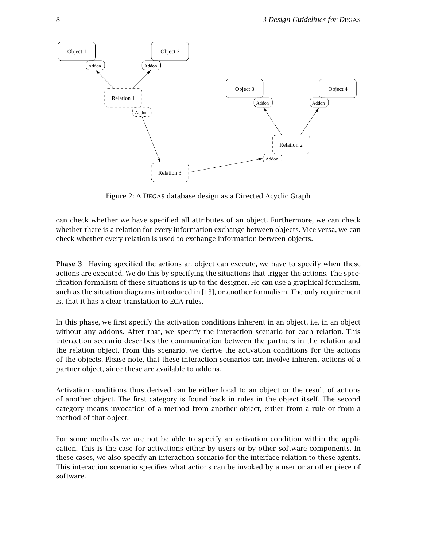

Figure 2: A Degas database design as a Directed Acyclic Graph

can check whether we have specified all attributes of an object. Furthermore, we can check whether there is a relation for every information exchange between objects. Vice versa, we can check whether every relation is used to exchange information between objects.

**Phase 3** Having specified the actions an object can execute, we have to specify when these actions are executed. We do this by specifying the situations that trigger the actions. The specification formalism of these situations is up to the designer. He can use a graphical formalism, such as the situation diagrams introduced in [13], or another formalism. The only requirement is, that it has a clear translation to ECA rules.

In this phase, we first specify the activation conditions inherent in an object, i.e. in an object without any addons. After that, we specify the interaction scenario for each relation. This interaction scenario describes the communication between the partners in the relation and the relation object. From this scenario, we derive the activation conditions for the actions of the objects. Please note, that these interaction scenarios can involve inherent actions of a partner object, since these are available to addons.

Activation conditions thus derived can be either local to an object or the result of actions of another object. The first category is found back in rules in the object itself. The second category means invocation of a method from another object, either from a rule or from a method of that object.

For some methods we are not be able to specify an activation condition within the application. This is the case for activations either by users or by other software components. In these cases, we also specify an interaction scenario for the interface relation to these agents. This interaction scenario specifies what actions can be invoked by a user or another piece of software.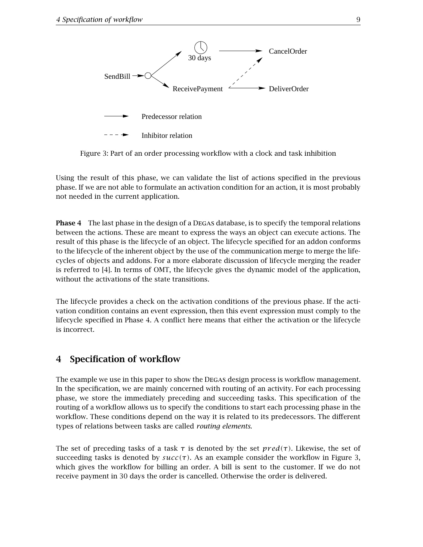

Figure 3: Part of an order processing workflow with a clock and task inhibition

Using the result of this phase, we can validate the list of actions specified in the previous phase. If we are not able to formulate an activation condition for an action, it is most probably not needed in the current application.

**Phase 4** The last phase in the design of a Degas database, is to specify the temporal relations between the actions. These are meant to express the ways an object can execute actions. The result of this phase is the lifecycle of an object. The lifecycle specified for an addon conforms to the lifecycle of the inherent object by the use of the communication merge to merge the lifecycles of objects and addons. For a more elaborate discussion of lifecycle merging the reader is referred to [4]. In terms of OMT, the lifecycle gives the dynamic model of the application, without the activations of the state transitions.

The lifecycle provides a check on the activation conditions of the previous phase. If the activation condition contains an event expression, then this event expression must comply to the lifecycle specified in Phase 4. A conflict here means that either the activation or the lifecycle is incorrect.

### **4 Specification of workflow**

The example we use in this paper to show the Degas design process is workflow management. In the specification, we are mainly concerned with routing of an activity. For each processing phase, we store the immediately preceding and succeeding tasks. This specification of the routing of a workflow allows us to specify the conditions to start each processing phase in the workflow. These conditions depend on the way it is related to its predecessors. The different types of relations between tasks are called *routing elements*.

The set of preceding tasks of a task *τ* is denoted by the set *pr ed(τ)*. Likewise, the set of succeeding tasks is denoted by  $succ(\tau)$ . As an example consider the workflow in Figure 3, which gives the workflow for billing an order. A bill is sent to the customer. If we do not receive payment in 30 days the order is cancelled. Otherwise the order is delivered.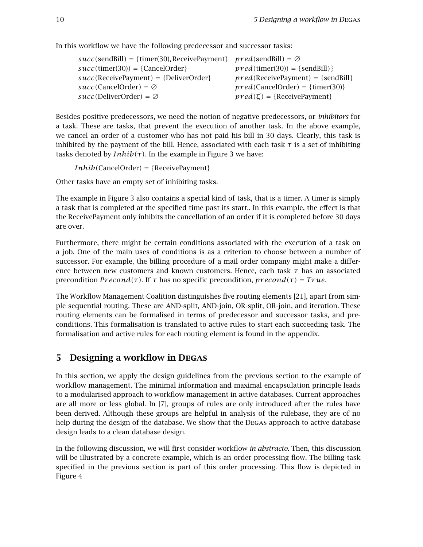In this workflow we have the following predecessor and successor tasks:

| $succ(sendBill) = {timer(30), ReceiverPayment} \text{pred(sendBill)} = \emptyset$ |                                         |
|-----------------------------------------------------------------------------------|-----------------------------------------|
| $succ(timer(30)) = {CancelOrder}$                                                 | $pred(\text{timer}(30)) = \{sendBill\}$ |
| $succ(ReceivePayment) = {DeliverOrder}$                                           | $pred(ReceivedPayment) = {sendBill}$    |
| $succ(Cancellation) = \emptyset$                                                  | $pred(CancelOrder) = {timer(30)}$       |
| $succ(DeliverOrder) = \emptyset$                                                  | $pred(\zeta) = {ReceivePayment}$        |

Besides positive predecessors, we need the notion of negative predecessors, or *inhibitors* for a task. These are tasks, that prevent the execution of another task. In the above example, we cancel an order of a customer who has not paid his bill in 30 days. Clearly, this task is inhibited by the payment of the bill. Hence, associated with each task  $\tau$  is a set of inhibiting tasks denoted by  $Inhib(\tau)$ . In the example in Figure 3 we have:

*Inhib(*CancelOrder*) = {*ReceivePayment*}*

Other tasks have an empty set of inhibiting tasks.

The example in Figure 3 also contains a special kind of task, that is a timer. A timer is simply a task that is completed at the specified time past its start.. In this example, the effect is that the ReceivePayment only inhibits the cancellation of an order if it is completed before 30 days are over.

Furthermore, there might be certain conditions associated with the execution of a task on a job. One of the main uses of conditions is as a criterion to choose between a number of successor. For example, the billing procedure of a mail order company might make a difference between new customers and known customers. Hence, each task *τ* has an associated *p* recondition *Precond*(τ). If  $τ$  has no specific precondition,  $precond(τ) = True$ .

The Workflow Management Coalition distinguishes five routing elements [21], apart from simple sequential routing. These are AND-split, AND-join, OR-split, OR-join, and iteration. These routing elements can be formalised in terms of predecessor and successor tasks, and preconditions. This formalisation is translated to active rules to start each succeeding task. The formalisation and active rules for each routing element is found in the appendix.

### **5 Designing a workflow in Degas**

In this section, we apply the design guidelines from the previous section to the example of workflow management. The minimal information and maximal encapsulation principle leads to a modularised approach to workflow management in active databases. Current approaches are all more or less global. In [7], groups of rules are only introduced after the rules have been derived. Although these groups are helpful in analysis of the rulebase, they are of no help during the design of the database. We show that the DEGAS approach to active database design leads to a clean database design.

In the following discussion, we will first consider workflow *in abstracto*. Then, this discussion will be illustrated by a concrete example, which is an order processing flow. The billing task specified in the previous section is part of this order processing. This flow is depicted in Figure 4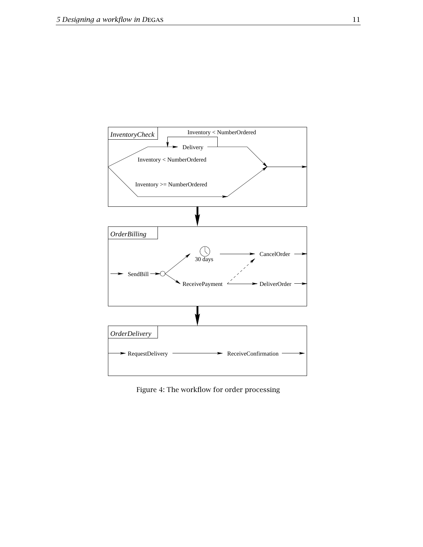

Figure 4: The workflow for order processing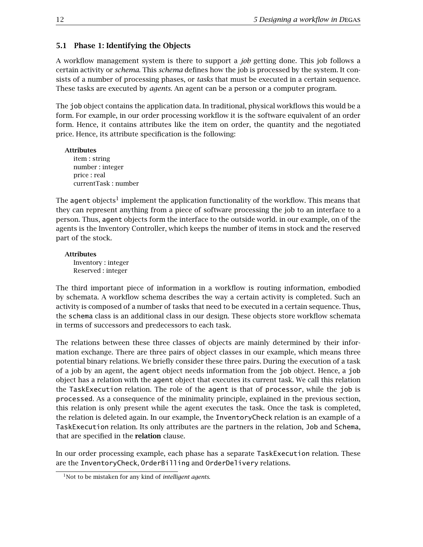### **5.1 Phase 1: Identifying the Objects**

A workflow management system is there to support a *job* getting done. This job follows a certain activity or *schema*. This *schema* defines how the job is processed by the system. It consists of a number of processing phases, or *tasks* that must be executed in a certain sequence. These tasks are executed by *agents*. An agent can be a person or a computer program.

The job object contains the application data. In traditional, physical workflows this would be a form. For example, in our order processing workflow it is the software equivalent of an order form. Hence, it contains attributes like the item on order, the quantity and the negotiated price. Hence, its attribute specification is the following:

**Attributes** item : string number : integer price : real currentTask : number

The agent objects<sup>1</sup> implement the application functionality of the workflow. This means that they can represent anything from a piece of software processing the job to an interface to a person. Thus, agent objects form the interface to the outside world. in our example, on of the agents is the Inventory Controller, which keeps the number of items in stock and the reserved part of the stock.

**Attributes** Inventory : integer Reserved : integer

The third important piece of information in a workflow is routing information, embodied by schemata. A workflow schema describes the way a certain activity is completed. Such an activity is composed of a number of tasks that need to be executed in a certain sequence. Thus, the schema class is an additional class in our design. These objects store workflow schemata in terms of successors and predecessors to each task.

The relations between these three classes of objects are mainly determined by their information exchange. There are three pairs of object classes in our example, which means three potential binary relations. We briefly consider these three pairs. During the execution of a task of a job by an agent, the agent object needs information from the job object. Hence, a job object has a relation with the agent object that executes its current task. We call this relation the TaskExecution relation. The role of the agent is that of processor, while the job is processed. As a consequence of the minimality principle, explained in the previous section, this relation is only present while the agent executes the task. Once the task is completed, the relation is deleted again. In our example, the InventoryCheck relation is an example of a TaskExecution relation. Its only attributes are the partners in the relation, Job and Schema, that are specified in the **relation** clause.

In our order processing example, each phase has a separate TaskExecution relation. These are the InventoryCheck, OrderBilling and OrderDelivery relations.

<sup>1</sup>Not to be mistaken for any kind of *intelligent agents*.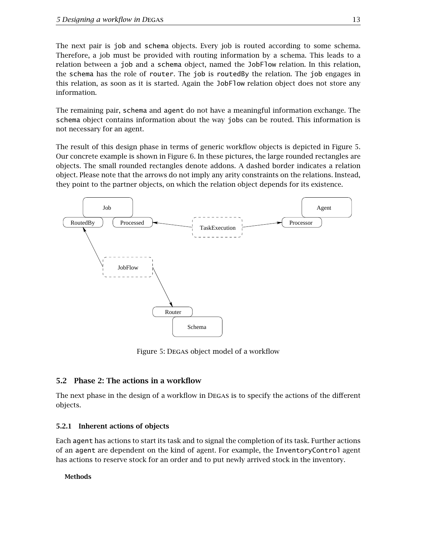The next pair is job and schema objects. Every job is routed according to some schema. Therefore, a job must be provided with routing information by a schema. This leads to a relation between a job and a schema object, named the JobFlow relation. In this relation, the schema has the role of router. The job is routedBy the relation. The job engages in this relation, as soon as it is started. Again the JobFlow relation object does not store any information.

The remaining pair, schema and agent do not have a meaningful information exchange. The schema object contains information about the way jobs can be routed. This information is not necessary for an agent.

The result of this design phase in terms of generic workflow objects is depicted in Figure 5. Our concrete example is shown in Figure 6. In these pictures, the large rounded rectangles are objects. The small rounded rectangles denote addons. A dashed border indicates a relation object. Please note that the arrows do not imply any arity constraints on the relations. Instead, they point to the partner objects, on which the relation object depends for its existence.



Figure 5: Degas object model of a workflow

### **5.2 Phase 2: The actions in a workflow**

The next phase in the design of a workflow in Degas is to specify the actions of the different objects.

#### **5.2.1 Inherent actions of objects**

Each agent has actions to start its task and to signal the completion of its task. Further actions of an agent are dependent on the kind of agent. For example, the InventoryControl agent has actions to reserve stock for an order and to put newly arrived stock in the inventory.

#### **Methods**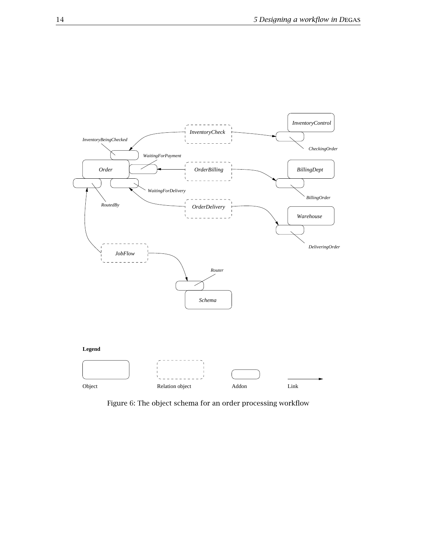

Figure 6: The object schema for an order processing workflow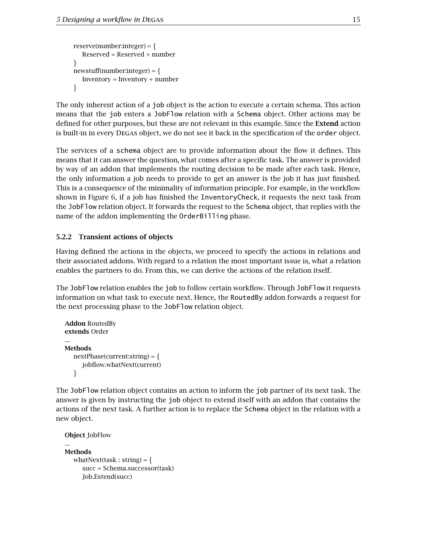```
reserve(number:integer) = \{Reserved = Reserved + number
\}newstuff(number:integer) = \{Inventory = Inventory + number
\}
```
The only inherent action of a job object is the action to execute a certain schema. This action means that the job enters a JobFlow relation with a Schema object. Other actions may be defined for other purposes, but these are not relevant in this example. Since the **Extend** action is built-in in every Degas object, we do not see it back in the specification of the order object.

The services of a schema object are to provide information about the flow it defines. This means that it can answer the question, what comes after a specific task. The answer is provided by way of an addon that implements the routing decision to be made after each task. Hence, the only information a job needs to provide to get an answer is the job it has just finished. This is a consequence of the minimality of information principle. For example, in the workflow shown in Figure 6, if a job has finished the InventoryCheck, it requests the next task from the JobFlow relation object. It forwards the request to the Schema object, that replies with the name of the addon implementing the OrderBilling phase.

#### **5.2.2 Transient actions of objects**

Having defined the actions in the objects, we proceed to specify the actions in relations and their associated addons. With regard to a relation the most important issue is, what a relation enables the partners to do. From this, we can derive the actions of the relation itself.

The JobFlow relation enables the job to follow certain workflow. Through JobFlow it requests information on what task to execute next. Hence, the RoutedBy addon forwards a request for the next processing phase to the JobFlow relation object.

```
Addon RoutedBy
extends Order
...
Methods
   nextPhase(current:string) = f
      jobflow.whatNext(current)
   \left\{ \right\}
```
The JobFlow relation object contains an action to inform the job partner of its next task. The answer is given by instructing the job object to extend itself with an addon that contains the actions of the next task. A further action is to replace the Schema object in the relation with a new object.

```
Object JobFlow
...
Methods
  whatNext(task : string) = \{succ = Schema.successor(task)
     Job.Extend(succ)
```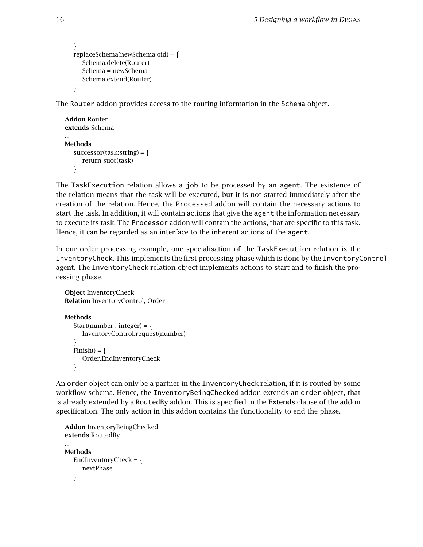```
\}replaceSchema(newSchema:oid) = f
  Schema.delete(Router)
  Schema = newSchema
  Schema.extend(Router)
\}
```
The Router addon provides access to the routing information in the Schema object.

```
Addon Router
extends Schema
...
Methods
  successor(task:string) = \{return succ(task)
   \}
```
The TaskExecution relation allows a job to be processed by an agent. The existence of the relation means that the task will be executed, but it is not started immediately after the creation of the relation. Hence, the Processed addon will contain the necessary actions to start the task. In addition, it will contain actions that give the agent the information necessary to execute its task. The Processor addon will contain the actions, that are specific to this task. Hence, it can be regarded as an interface to the inherent actions of the agent.

In our order processing example, one specialisation of the TaskExecution relation is the InventoryCheck. This implements the first processing phase which is done by the InventoryControl agent. The InventoryCheck relation object implements actions to start and to finish the processing phase.

```
Object InventoryCheck
Relation InventoryControl, Order
...
Methods
   Start(number : integer) = {
     InventoryControl.request(number)
   \}Finish() = \{Order.EndInventoryCheck
   \mathcal{F}
```
An order object can only be a partner in the InventoryCheck relation, if it is routed by some workflow schema. Hence, the InventoryBeingChecked addon extends an order object, that is already extended by a RoutedBy addon. This is specified in the **Extends** clause of the addon specification. The only action in this addon contains the functionality to end the phase.

```
Addon InventoryBeingChecked
extends RoutedBy
...
Methods
   EndInventoryCheck = \{nextPhase
   \mathcal{F}
```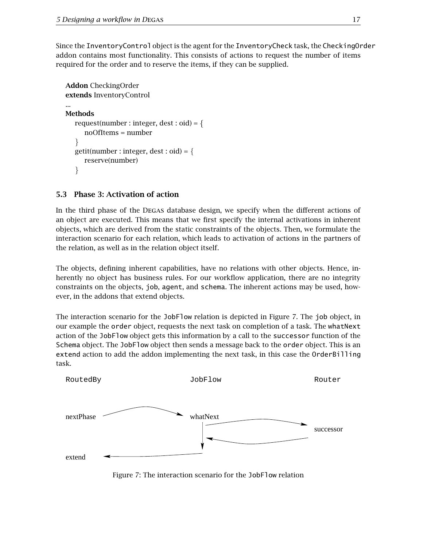Since the InventoryControl object is the agent for the InventoryCheck task, the CheckingOrder addon contains most functionality. This consists of actions to request the number of items required for the order and to reserve the items, if they can be supplied.

```
Addon CheckingOrder
extends InventoryControl
...
Methods
   request(number : integer, dest : oid) = \{noOfItems = number
   \left\{ \right\}getit(number : integer, dest : oid) = \{reserve(number)
   \}
```
### **5.3 Phase 3: Activation of action**

In the third phase of the Degas database design, we specify when the different actions of an object are executed. This means that we first specify the internal activations in inherent objects, which are derived from the static constraints of the objects. Then, we formulate the interaction scenario for each relation, which leads to activation of actions in the partners of the relation, as well as in the relation object itself.

The objects, defining inherent capabilities, have no relations with other objects. Hence, inherently no object has business rules. For our workflow application, there are no integrity constraints on the objects, job, agent, and schema. The inherent actions may be used, however, in the addons that extend objects.

The interaction scenario for the JobFlow relation is depicted in Figure 7. The job object, in our example the order object, requests the next task on completion of a task. The whatNext action of the JobFlow object gets this information by a call to the successor function of the Schema object. The JobFlow object then sends a message back to the order object. This is an extend action to add the addon implementing the next task, in this case the OrderBilling task.



Figure 7: The interaction scenario for the JobFlow relation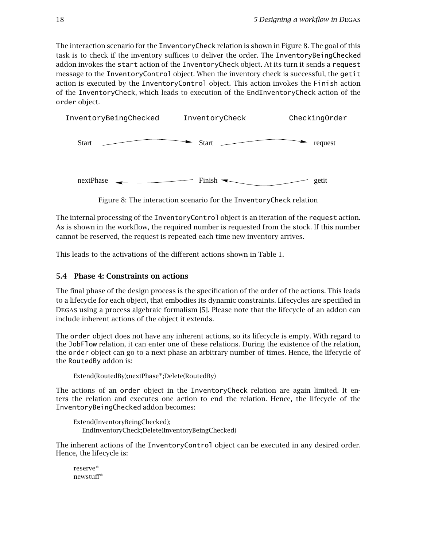The interaction scenario for the InventoryCheck relation is shown in Figure 8. The goal of this task is to check if the inventory suffices to deliver the order. The InventoryBeingChecked addon invokes the start action of the InventoryCheck object. At its turn it sends a request message to the InventoryControl object. When the inventory check is successful, the getit action is executed by the InventoryControl object. This action invokes the Finish action of the InventoryCheck, which leads to execution of the EndInventoryCheck action of the order object.



Figure 8: The interaction scenario for the InventoryCheck relation

The internal processing of the InventoryControl object is an iteration of the request action. As is shown in the workflow, the required number is requested from the stock. If this number cannot be reserved, the request is repeated each time new inventory arrives.

This leads to the activations of the different actions shown in Table 1.

### **5.4 Phase 4: Constraints on actions**

The final phase of the design process is the specification of the order of the actions. This leads to a lifecycle for each object, that embodies its dynamic constraints. Lifecycles are specified in Degas using a process algebraic formalism [5]. Please note that the lifecycle of an addon can include inherent actions of the object it extends.

The order object does not have any inherent actions, so its lifecycle is empty. With regard to the JobFlow relation, it can enter one of these relations. During the existence of the relation, the order object can go to a next phase an arbitrary number of times. Hence, the lifecycle of the RoutedBy addon is:

Extend(RoutedBy);nextPhase*∗*;Delete(RoutedBy)

The actions of an order object in the InventoryCheck relation are again limited. It enters the relation and executes one action to end the relation. Hence, the lifecycle of the InventoryBeingChecked addon becomes:

```
Extend(InventoryBeingChecked);
  EndInventoryCheck;Delete(InventoryBeingChecked)
```
The inherent actions of the InventoryControl object can be executed in any desired order. Hence, the lifecycle is:

reserve*<sup>∗</sup>* newstuff*<sup>∗</sup>*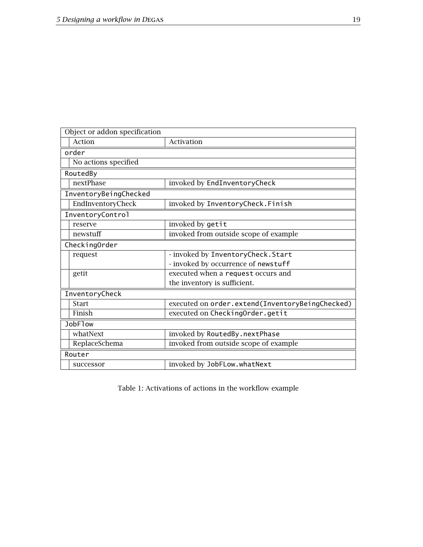| Object or addon specification |                                                 |
|-------------------------------|-------------------------------------------------|
| Action                        | Activation                                      |
| order                         |                                                 |
| No actions specified          |                                                 |
| RoutedBy                      |                                                 |
| nextPhase                     | invoked by EndInventoryCheck                    |
| InventoryBeingChecked         |                                                 |
| EndInventoryCheck             | invoked by InventoryCheck.Finish                |
| InventoryControl              |                                                 |
| reserve                       | invoked by getit                                |
| newstuff                      | invoked from outside scope of example           |
| CheckingOrder                 |                                                 |
| request                       | - invoked by InventoryCheck. Start              |
|                               | - invoked by occurrence of newstuff             |
| getit                         | executed when a request occurs and              |
|                               | the inventory is sufficient.                    |
| InventoryCheck                |                                                 |
| <b>Start</b>                  | executed on order.extend(InventoryBeingChecked) |
| Finish                        | executed on CheckingOrder.getit                 |
| JobF1ow                       |                                                 |
| whatNext                      | invoked by RoutedBy.nextPhase                   |
| ReplaceSchema                 | invoked from outside scope of example           |
| Router                        |                                                 |
| successor                     | invoked by JobFLow.whatNext                     |

Table 1: Activations of actions in the workflow example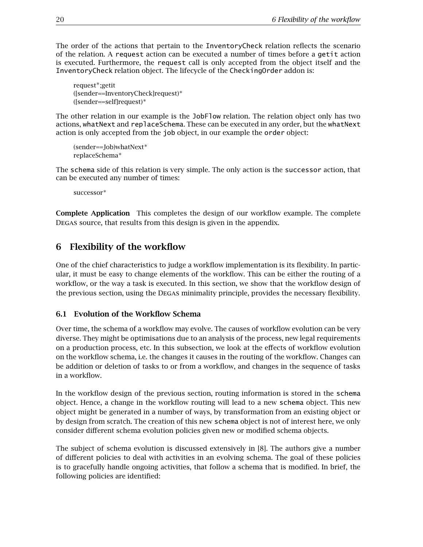The order of the actions that pertain to the InventoryCheck relation reflects the scenario of the relation. A request action can be executed a number of times before a getit action is executed. Furthermore, the request call is only accepted from the object itself and the InventoryCheck relation object. The lifecycle of the CheckingOrder addon is:

request*∗*;getit ([sender==InventoryCheck]request)*<sup>∗</sup>* ([sender==self]request)*<sup>∗</sup>*

The other relation in our example is the JobFlow relation. The relation object only has two actions, whatNext and replaceSchema. These can be executed in any order, but the whatNext action is only accepted from the job object, in our example the order object:

```
(sender==Job)whatNext∗
replaceSchema∗
```
The schema side of this relation is very simple. The only action is the successor action, that can be executed any number of times:

successor*<sup>∗</sup>*

**Complete Application** This completes the design of our workflow example. The complete Degas source, that results from this design is given in the appendix.

## **6 Flexibility of the workflow**

One of the chief characteristics to judge a workflow implementation is its flexibility. In particular, it must be easy to change elements of the workflow. This can be either the routing of a workflow, or the way a task is executed. In this section, we show that the workflow design of the previous section, using the Degas minimality principle, provides the necessary flexibility.

### **6.1 Evolution of the Workflow Schema**

Over time, the schema of a workflow may evolve. The causes of workflow evolution can be very diverse. They might be optimisations due to an analysis of the process, new legal requirements on a production process, etc. In this subsection, we look at the effects of workflow evolution on the workflow schema, i.e. the changes it causes in the routing of the workflow. Changes can be addition or deletion of tasks to or from a workflow, and changes in the sequence of tasks in a workflow.

In the workflow design of the previous section, routing information is stored in the schema object. Hence, a change in the workflow routing will lead to a new schema object. This new object might be generated in a number of ways, by transformation from an existing object or by design from scratch. The creation of this new schema object is not of interest here, we only consider different schema evolution policies given new or modified schema objects.

The subject of schema evolution is discussed extensively in [8]. The authors give a number of different policies to deal with activities in an evolving schema. The goal of these policies is to gracefully handle ongoing activities, that follow a schema that is modified. In brief, the following policies are identified: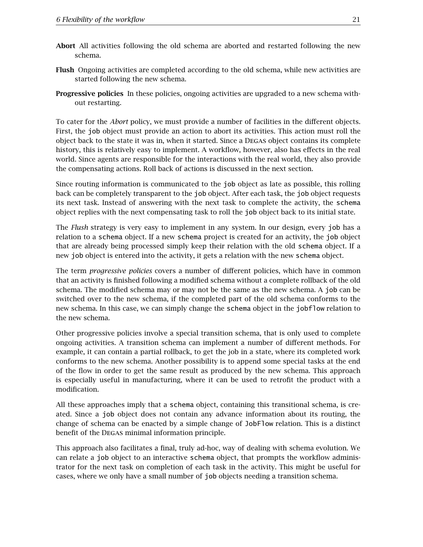- **Abort** All activities following the old schema are aborted and restarted following the new schema.
- **Flush** Ongoing activities are completed according to the old schema, while new activities are started following the new schema.
- **Progressive policies** In these policies, ongoing activities are upgraded to a new schema without restarting.

To cater for the *Abort* policy, we must provide a number of facilities in the different objects. First, the job object must provide an action to abort its activities. This action must roll the object back to the state it was in, when it started. Since a Degas object contains its complete history, this is relatively easy to implement. A workflow, however, also has effects in the real world. Since agents are responsible for the interactions with the real world, they also provide the compensating actions. Roll back of actions is discussed in the next section.

Since routing information is communicated to the job object as late as possible, this rolling back can be completely transparent to the job object. After each task, the job object requests its next task. Instead of answering with the next task to complete the activity, the schema object replies with the next compensating task to roll the job object back to its initial state.

The *Flush* strategy is very easy to implement in any system. In our design, every job has a relation to a schema object. If a new schema project is created for an activity, the job object that are already being processed simply keep their relation with the old schema object. If a new job object is entered into the activity, it gets a relation with the new schema object.

The term *progressive policies* covers a number of different policies, which have in common that an activity is finished following a modified schema without a complete rollback of the old schema. The modified schema may or may not be the same as the new schema. A job can be switched over to the new schema, if the completed part of the old schema conforms to the new schema. In this case, we can simply change the schema object in the jobflow relation to the new schema.

Other progressive policies involve a special transition schema, that is only used to complete ongoing activities. A transition schema can implement a number of different methods. For example, it can contain a partial rollback, to get the job in a state, where its completed work conforms to the new schema. Another possibility is to append some special tasks at the end of the flow in order to get the same result as produced by the new schema. This approach is especially useful in manufacturing, where it can be used to retrofit the product with a modification.

All these approaches imply that a schema object, containing this transitional schema, is created. Since a job object does not contain any advance information about its routing, the change of schema can be enacted by a simple change of JobFlow relation. This is a distinct benefit of the Degas minimal information principle.

This approach also facilitates a final, truly ad-hoc, way of dealing with schema evolution. We can relate a job object to an interactive schema object, that prompts the workflow administrator for the next task on completion of each task in the activity. This might be useful for cases, where we only have a small number of job objects needing a transition schema.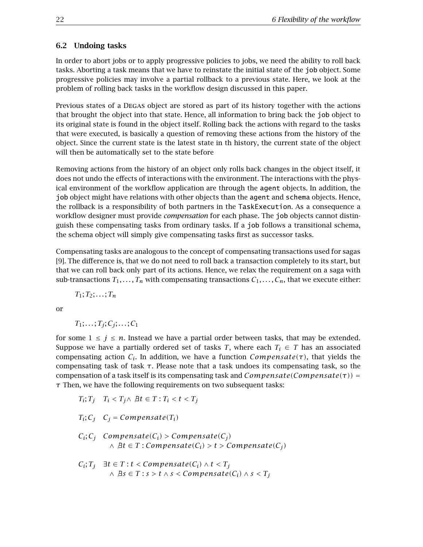#### **6.2 Undoing tasks**

In order to abort jobs or to apply progressive policies to jobs, we need the ability to roll back tasks. Aborting a task means that we have to reinstate the initial state of the job object. Some progressive policies may involve a partial rollback to a previous state. Here, we look at the problem of rolling back tasks in the workflow design discussed in this paper.

Previous states of a Degas object are stored as part of its history together with the actions that brought the object into that state. Hence, all information to bring back the job object to its original state is found in the object itself. Rolling back the actions with regard to the tasks that were executed, is basically a question of removing these actions from the history of the object. Since the current state is the latest state in th history, the current state of the object will then be automatically set to the state before

Removing actions from the history of an object only rolls back changes in the object itself, it does not undo the effects of interactions with the environment. The interactions with the physical environment of the workflow application are through the agent objects. In addition, the job object might have relations with other objects than the agent and schema objects. Hence, the rollback is a responsibility of both partners in the TaskExecution. As a consequence a workflow designer must provide *compensation* for each phase. The job objects cannot distinguish these compensating tasks from ordinary tasks. If a job follows a transitional schema, the schema object will simply give compensating tasks first as successor tasks.

Compensating tasks are analogous to the concept of compensating transactions used for sagas [9]. The difference is, that we do not need to roll back a transaction completely to its start, but that we can roll back only part of its actions. Hence, we relax the requirement on a saga with sub-transactions  $T_1, \ldots, T_n$  with compensating transactions  $C_1, \ldots, C_n$ , that we execute either:

 $T_1; T_2; \ldots; T_n$ 

or

$$
T_1; \ldots; T_j; C_j; \ldots; C_1
$$

for some  $1 \leq j \leq n$ . Instead we have a partial order between tasks, that may be extended. Suppose we have a partially ordered set of tasks *T*, where each  $T_i \in T$  has an associated compensating action *Ci*. In addition, we have a function *Compensate(τ)*, that yields the compensating task of task *τ*. Please note that a task undoes its compensating task, so the compensation of a task itself is its compensating task and *Compensate(Compensate(τ)) = τ* Then, we have the following requirements on two subsequent tasks:

$$
T_i; T_j \quad T_i < T_j \land \ \exists t \in T : T_i < t < T_j
$$

$$
T_i; C_j \quad C_j = Compensate(T_i)
$$

$$
C_i; C_j
$$
 *Compensate* $(C_i)$  > *Compensate* $(C_j)$   
  $\land$  *At*  $\in$  *T* : *Compensate* $(C_i)$  > *t* > *Compensate* $(C_j)$ 

$$
C_i; T_j \quad \exists t \in T : t < Compensate(C_i) \land t < T_j
$$
\n
$$
\land \quad \exists s \in T : s > t \land s < Compensate(C_i) \land s < T_j
$$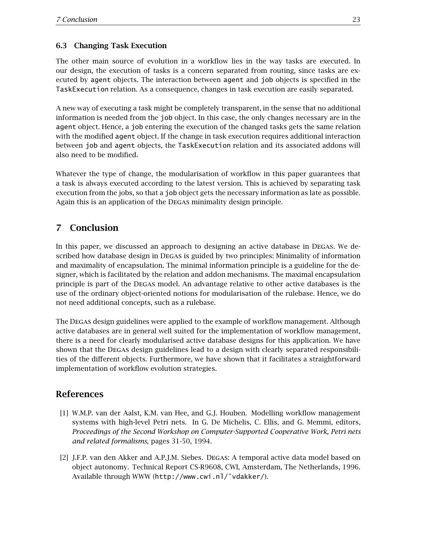### **6.3 Changing Task Execution**

The other main source of evolution in a workflow lies in the way tasks are executed. In our design, the execution of tasks is a concern separated from routing, since tasks are executed by agent objects. The interaction between agent and job objects is specified in the TaskExecution relation. As a consequence, changes in task execution are easily separated.

A new way of executing a task might be completely transparent, in the sense that no additional information is needed from the job object. In this case, the only changes necessary are in the agent object. Hence, a job entering the execution of the changed tasks gets the same relation with the modified agent object. If the change in task execution requires additional interaction between job and agent objects, the TaskExecution relation and its associated addons will also need to be modified.

Whatever the type of change, the modularisation of workflow in this paper guarantees that a task is always executed according to the latest version. This is achieved by separating task execution from the jobs, so that a job object gets the necessary information as late as possible. Again this is an application of the Degas minimality design principle.

## **7 Conclusion**

In this paper, we discussed an approach to designing an active database in Degas. We described how database design in Degas is guided by two principles: Minimality of information and maximality of encapsulation. The minimal information principle is a guideline for the designer, which is facilitated by the relation and addon mechanisms. The maximal encapsulation principle is part of the Degas model. An advantage relative to other active databases is the use of the ordinary object-oriented notions for modularisation of the rulebase. Hence, we do not need additional concepts, such as a rulebase.

The Degas design guidelines were applied to the example of workflow management. Although active databases are in general well suited for the implementation of workflow management, there is a need for clearly modularised active database designs for this application. We have shown that the Degas design guidelines lead to a design with clearly separated responsibilities of the different objects. Furthermore, we have shown that it facilitates a straightforward implementation of workflow evolution strategies.

### **References**

- [1] W.M.P. van der Aalst, K.M. van Hee, and G.J. Houben. Modelling workflow management systems with high-level Petri nets. In G. De Michelis, C. Ellis, and G. Memmi, editors, *Proceedings of the Second Workshop on Computer-Supported Cooperative Work, Petri nets and related formalisms*, pages 31-50, 1994.
- [2] J.F.P. van den Akker and A.P.J.M. Siebes. Degas: A temporal active data model based on object autonomy. Technical Report CS-R9608, CWI, Amsterdam, The Netherlands, 1996. Available through WWW (http://www.cwi.nl/˜vdakker/).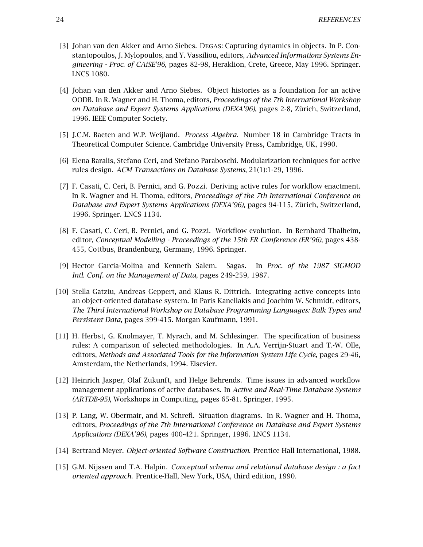- [3] Johan van den Akker and Arno Siebes. Degas: Capturing dynamics in objects. In P. Constantopoulos, J. Mylopoulos, and Y. Vassiliou, editors, *Advanced Informations Systems Engineering - Proc. of CAiSE'96*, pages 82-98, Heraklion, Crete, Greece, May 1996. Springer. LNCS 1080.
- [4] Johan van den Akker and Arno Siebes. Object histories as a foundation for an active OODB. In R. Wagner and H. Thoma, editors, *Proceedings of the 7th International Workshop on Database and Expert Systems Applications (DEXA'96)*, pages 2-8, Zürich, Switzerland, 1996. IEEE Computer Society.
- [5] J.C.M. Baeten and W.P. Weijland. *Process Algebra*. Number 18 in Cambridge Tracts in Theoretical Computer Science. Cambridge University Press, Cambridge, UK, 1990.
- [6] Elena Baralis, Stefano Ceri, and Stefano Paraboschi. Modularization techniques for active rules design. *ACM Transactions on Database Systems*, 21(1):1-29, 1996.
- [7] F. Casati, C. Ceri, B. Pernici, and G. Pozzi. Deriving active rules for workflow enactment. In R. Wagner and H. Thoma, editors, *Proceedings of the 7th International Conference on Database and Expert Systems Applications (DEXA'96)*, pages 94-115, Zürich, Switzerland, 1996. Springer. LNCS 1134.
- [8] F. Casati, C. Ceri, B. Pernici, and G. Pozzi. Workflow evolution. In Bernhard Thalheim, editor, *Conceptual Modelling - Proceedings of the 15th ER Conference (ER'96)*, pages 438- 455, Cottbus, Brandenburg, Germany, 1996. Springer.
- [9] Hector Garcia-Molina and Kenneth Salem. Sagas. In *Proc. of the 1987 SIGMOD Intl. Conf. on the Management of Data*, pages 249-259, 1987.
- [10] Stella Gatziu, Andreas Geppert, and Klaus R. Dittrich. Integrating active concepts into an object-oriented database system. In Paris Kanellakis and Joachim W. Schmidt, editors, *The Third International Workshop on Database Programming Languages: Bulk Types and Persistent Data*, pages 399-415. Morgan Kaufmann, 1991.
- [11] H. Herbst, G. Knolmayer, T. Myrach, and M. Schlesinger. The specification of business rules: A comparison of selected methodologies. In A.A. Verrijn-Stuart and T.-W. Olle, editors, *Methods and Associated Tools for the Information System Life Cycle*, pages 29-46, Amsterdam, the Netherlands, 1994. Elsevier.
- [12] Heinrich Jasper, Olaf Zukunft, and Helge Behrends. Time issues in advanced workflow management applications of active databases. In *Active and Real-Time Database Systems (ARTDB-95)*, Workshops in Computing, pages 65-81. Springer, 1995.
- [13] P. Lang, W. Obermair, and M. Schrefl. Situation diagrams. In R. Wagner and H. Thoma, editors, *Proceedings of the 7th International Conference on Database and Expert Systems Applications (DEXA'96)*, pages 400-421. Springer, 1996. LNCS 1134.
- [14] Bertrand Meyer. *Object-oriented Software Construction*. Prentice Hall International, 1988.
- [15] G.M. Nijssen and T.A. Halpin. *Conceptual schema and relational database design : a fact oriented approach*. Prentice-Hall, New York, USA, third edition, 1990.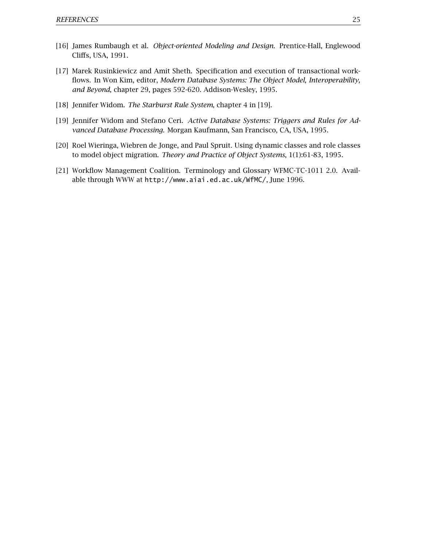- [16] James Rumbaugh et al. *Object-oriented Modeling and Design*. Prentice-Hall, Englewood Cliffs, USA, 1991.
- [17] Marek Rusinkiewicz and Amit Sheth. Specification and execution of transactional workflows. In Won Kim, editor, *Modern Database Systems: The Object Model, Interoperability, and Beyond*, chapter 29, pages 592-620. Addison-Wesley, 1995.
- [18] Jennifer Widom. *The Starburst Rule System*, chapter 4 in [19].
- [19] Jennifer Widom and Stefano Ceri. *Active Database Systems: Triggers and Rules for Advanced Database Processing*. Morgan Kaufmann, San Francisco, CA, USA, 1995.
- [20] Roel Wieringa, Wiebren de Jonge, and Paul Spruit. Using dynamic classes and role classes to model object migration. *Theory and Practice of Object Systems*, 1(1):61-83, 1995.
- [21] Workflow Management Coalition. Terminology and Glossary WFMC-TC-1011 2.0. Available through WWW at http://www.aiai.ed.ac.uk/WfMC/, June 1996.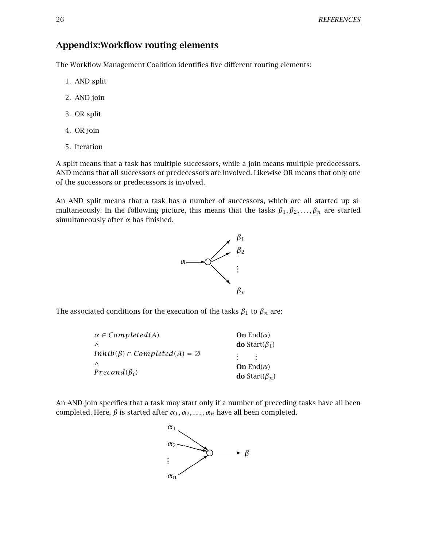## **Appendix:Workflow routing elements**

The Workflow Management Coalition identifies five different routing elements:

- 1. AND split
- 2. AND join
- 3. OR split
- 4. OR join
- 5. Iteration

A split means that a task has multiple successors, while a join means multiple predecessors. AND means that all successors or predecessors are involved. Likewise OR means that only one of the successors or predecessors is involved.

An AND split means that a task has a number of successors, which are all started up simultaneously. In the following picture, this means that the tasks  $\beta_1, \beta_2, \ldots, \beta_n$  are started simultaneously after *α* has finished.



The associated conditions for the execution of the tasks  $\beta_1$  to  $\beta_n$  are:

| $\alpha \in Completed(A)$                    | On End $(\alpha)$            |
|----------------------------------------------|------------------------------|
| $\wedge$                                     | <b>do</b> Start( $\beta_1$ ) |
| $Inhib(\beta) \cap Completed(A) = \emptyset$ | <b>Contract</b>              |
| $\wedge$                                     | On End $(\alpha)$            |
| $Precond(\beta_i)$                           | <b>do</b> Start( $\beta_n$ ) |

An AND-join specifies that a task may start only if a number of preceding tasks have all been completed. Here,  $\beta$  is started after  $\alpha_1, \alpha_2, \ldots, \alpha_n$  have all been completed.

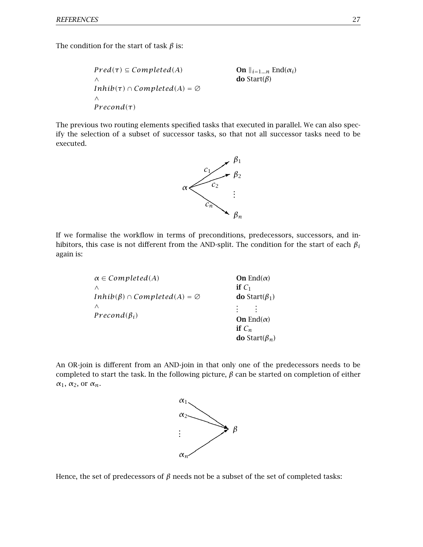The condition for the start of task *β* is:

*Pred*(τ) ⊆ *Completed*(A) On 
$$
\|_{i=1...n}
$$
 End(α<sub>i</sub>)  
\n $\wedge$  do Start(β)  
\n $\wedge$   
\n $\wedge$   
\n*Precond*(τ)

The previous two routing elements specified tasks that executed in parallel. We can also specify the selection of a subset of successor tasks, so that not all successor tasks need to be executed.



If we formalise the workflow in terms of preconditions, predecessors, successors, and inhibitors, this case is not different from the AND-split. The condition for the start of each *βi* again is:

| $\alpha \in Completed(A)$                    | On End $(\alpha)$            |
|----------------------------------------------|------------------------------|
| Λ                                            | if $C_1$                     |
| $Inhib(\beta) \cap Completed(A) = \emptyset$ | <b>do</b> Start( $\beta_1$ ) |
| Λ                                            | ٠                            |
| $Precond(\beta_i)$                           | On End $(\alpha)$            |
|                                              | if $C_n$                     |
|                                              | <b>do</b> Start( $\beta_n$ ) |

An OR-join is different from an AND-join in that only one of the predecessors needs to be completed to start the task. In the following picture, *β* can be started on completion of either *α*1, *α*2, or *αn*.



Hence, the set of predecessors of *β* needs not be a subset of the set of completed tasks: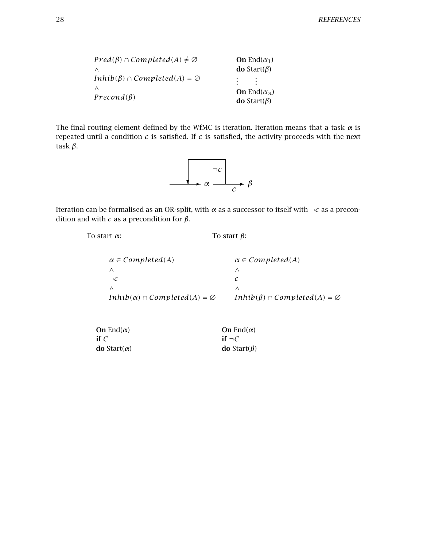| $Pred(\beta) \cap Completed(A) \neq \emptyset$ | <b>On</b> End $(\alpha_1)$ |
|------------------------------------------------|----------------------------|
| ∧                                              | <b>do</b> Start( $\beta$ ) |
| $Inhib(\beta) \cap Completed(A) = \emptyset$   | <b>Contract Contract</b>   |
| ∧                                              | <b>On</b> End $(\alpha_n)$ |
| $Precond(\beta)$                               | <b>do</b> Start( $\beta$ ) |

The final routing element defined by the WfMC is iteration. Iteration means that a task *α* is repeated until a condition *c* is satisfied. If *c* is satisfied, the activity proceeds with the next task *β*.



Iteration can be formalised as an OR-split, with *α* as a successor to itself with *¬c* as a precondition and with  *as a precondition for*  $*β*$ *.* 

To start  $\alpha$ : To start  $\beta$ :

| $\alpha \in Completed(A)$                     | $\alpha \in Completed(A)$                    |
|-----------------------------------------------|----------------------------------------------|
|                                               |                                              |
| $\neg c$                                      |                                              |
|                                               |                                              |
| $Inhib(\alpha) \cap Completed(A) = \emptyset$ | $Inhib(\beta) \cap Completed(A) = \emptyset$ |

| <b>On</b> End( $\alpha$ )   | <b>On</b> End( $\alpha$ )  |
|-----------------------------|----------------------------|
| if $\mathcal C$             | if $\neg C$                |
| <b>do</b> Start( $\alpha$ ) | <b>do</b> Start( $\beta$ ) |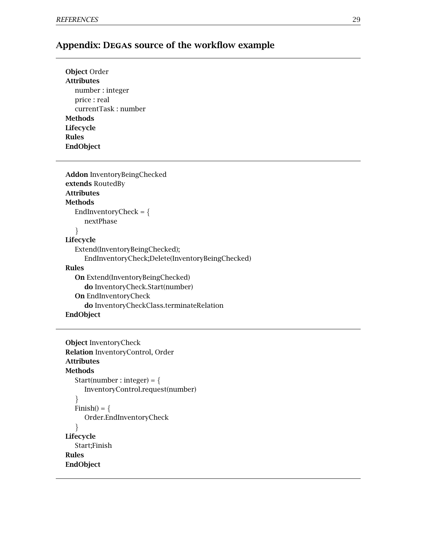# **Appendix: Degas source of the workflow example**

| <b>Object Order</b>                             |
|-------------------------------------------------|
| <b>Attributes</b>                               |
| number: integer                                 |
| price : real                                    |
| currentTask: number                             |
| <b>Methods</b>                                  |
| Lifecycle                                       |
| <b>Rules</b>                                    |
| EndObject                                       |
|                                                 |
|                                                 |
| <b>Addon</b> InventoryBeingChecked              |
| extends RoutedBy                                |
| <b>Attributes</b>                               |
| <b>Methods</b>                                  |
| EndInventoryCheck = $\{$                        |
| nextPhase                                       |
| ł                                               |
| Lifecycle                                       |
| Extend(InventoryBeingChecked);                  |
| EndInventoryCheck;Delete(InventoryBeingChecked) |
| <b>Rules</b>                                    |
| <b>On</b> Extend(InventoryBeingChecked)         |
| do InventoryCheck.Start(number)                 |
| <b>On EndInventoryCheck</b>                     |
| do InventoryCheckClass.terminateRelation        |
| EndObject                                       |

```
Object InventoryCheck
Relation InventoryControl, Order
Attributes
Methods
  Start(number : integer) = \{InventoryControl.request(number)
  \}Finish() = \{Order.EndInventoryCheck
  \}Lifecycle
  Start;Finish
Rules
EndObject
```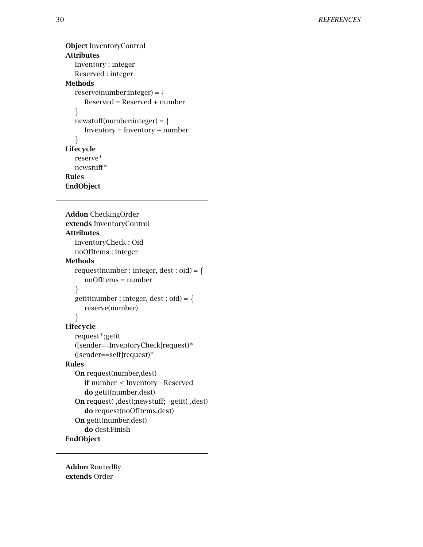```
Object InventoryControl
Attributes
  Inventory : integer
  Reserved : integer
Methods
  reserve(number:integer) = {Reserved = Reserved + number
  \}newstuff(number:integer) = \{Inventory = Inventory + number
  \}Lifecycle
  reserve∗
  newstuff∗
Rules
EndObject
```

```
Addon CheckingOrder
extends InventoryControl
Attributes
  InventoryCheck : Oid
  noOfItems : integer
Methods
  request(number : integer, dest : oid) = f
     noOfItems = number
   \mathcal{F}getit(number : integer, dest : odd) = \{reserve(number)
   \}Lifecycle
  request∗;getit
  ([sender==InventoryCheck]request)∗
  ([sender==self]request)∗
Rules
  On request(number,dest)
     if number ≤ Inventory - Reserved
     do getit(number,dest)
  On request( ,dest);newstuff;¬getit( ,dest)
     do request(noOfItems,dest)
  On getit(number,dest)
     do dest.Finish
EndObject
```
**Addon** RoutedBy **extends** Order